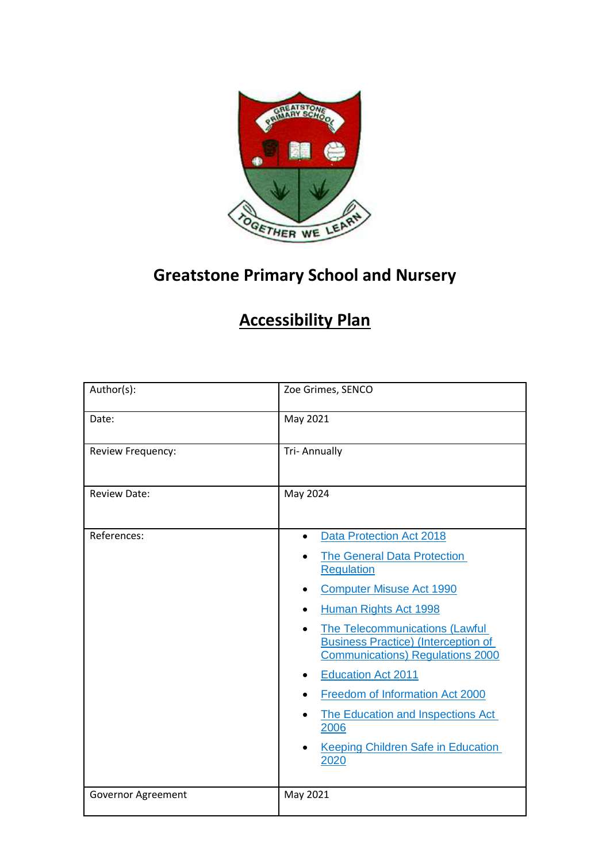

# **Greatstone Primary School and Nursery**

## **Accessibility Plan**

| Author(s):          | Zoe Grimes, SENCO                                                                                                                                                                                                                                                                                                                                                                                                                                                                        |  |  |
|---------------------|------------------------------------------------------------------------------------------------------------------------------------------------------------------------------------------------------------------------------------------------------------------------------------------------------------------------------------------------------------------------------------------------------------------------------------------------------------------------------------------|--|--|
| Date:               | May 2021                                                                                                                                                                                                                                                                                                                                                                                                                                                                                 |  |  |
| Review Frequency:   | <b>Tri-Annually</b>                                                                                                                                                                                                                                                                                                                                                                                                                                                                      |  |  |
| <b>Review Date:</b> | May 2024                                                                                                                                                                                                                                                                                                                                                                                                                                                                                 |  |  |
| References:         | Data Protection Act 2018<br>$\bullet$<br><b>The General Data Protection</b><br><b>Regulation</b><br><b>Computer Misuse Act 1990</b><br>Human Rights Act 1998<br>$\bullet$<br>The Telecommunications (Lawful<br>$\bullet$<br><b>Business Practice) (Interception of</b><br><b>Communications) Regulations 2000</b><br><b>Education Act 2011</b><br>٠<br>Freedom of Information Act 2000<br>The Education and Inspections Act<br>2006<br><b>Keeping Children Safe in Education</b><br>2020 |  |  |
| Governor Agreement  | May 2021                                                                                                                                                                                                                                                                                                                                                                                                                                                                                 |  |  |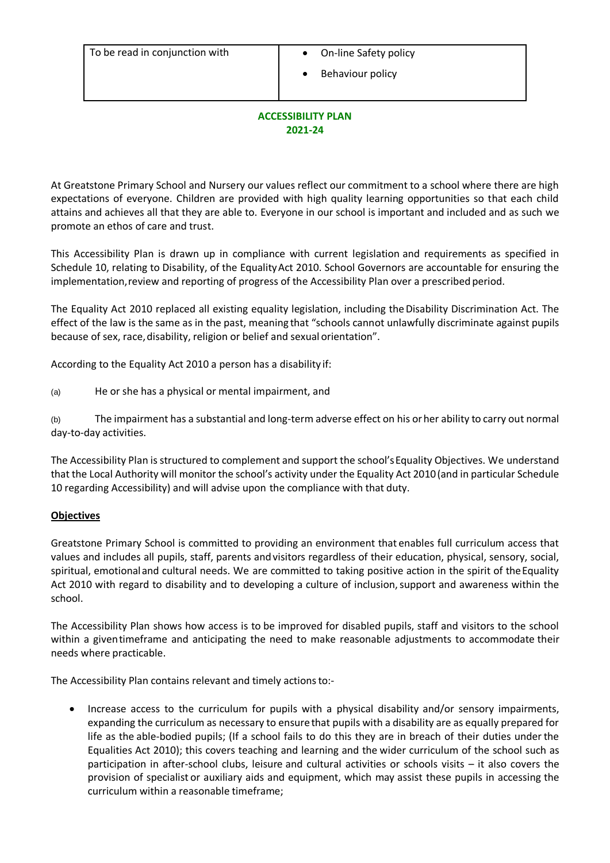- 
- Behaviour policy

#### **ACCESSIBILITY PLAN 2021-24**

At Greatstone Primary School and Nursery our values reflect our commitment to a school where there are high expectations of everyone. Children are provided with high quality learning opportunities so that each child attains and achieves all that they are able to. Everyone in our school is important and included and as such we promote an ethos of care and trust.

This Accessibility Plan is drawn up in compliance with current legislation and requirements as specified in Schedule 10, relating to Disability, of the EqualityAct 2010. School Governors are accountable for ensuring the implementation,review and reporting of progress of the Accessibility Plan over a prescribed period.

The Equality Act 2010 replaced all existing equality legislation, including the Disability Discrimination Act. The effect of the law is the same as in the past, meaning that "schools cannot unlawfully discriminate against pupils because of sex, race,disability, religion or belief and sexual orientation".

According to the Equality Act 2010 a person has a disability if:

(a) He or she has a physical or mental impairment, and

(b) The impairment has a substantial and long-term adverse effect on his orher ability to carry out normal day-to-day activities.

The Accessibility Plan is structured to complement and support the school'sEquality Objectives. We understand that the Local Authority will monitor the school's activity under the Equality Act 2010(and in particular Schedule 10 regarding Accessibility) and will advise upon the compliance with that duty.

#### **Objectives**

Greatstone Primary School is committed to providing an environment that enables full curriculum access that values and includes all pupils, staff, parents andvisitors regardless of their education, physical, sensory, social, spiritual, emotional and cultural needs. We are committed to taking positive action in the spirit of the Equality Act 2010 with regard to disability and to developing a culture of inclusion, support and awareness within the school.

The Accessibility Plan shows how access is to be improved for disabled pupils, staff and visitors to the school within a giventimeframe and anticipating the need to make reasonable adjustments to accommodate their needs where practicable.

The Accessibility Plan contains relevant and timely actionsto:-

 Increase access to the curriculum for pupils with a physical disability and/or sensory impairments, expanding the curriculum as necessary to ensurethat pupils with a disability are as equally prepared for life as the able-bodied pupils; (If a school fails to do this they are in breach of their duties under the Equalities Act 2010); this covers teaching and learning and the wider curriculum of the school such as participation in after-school clubs, leisure and cultural activities or schools visits – it also covers the provision of specialist or auxiliary aids and equipment, which may assist these pupils in accessing the curriculum within a reasonable timeframe;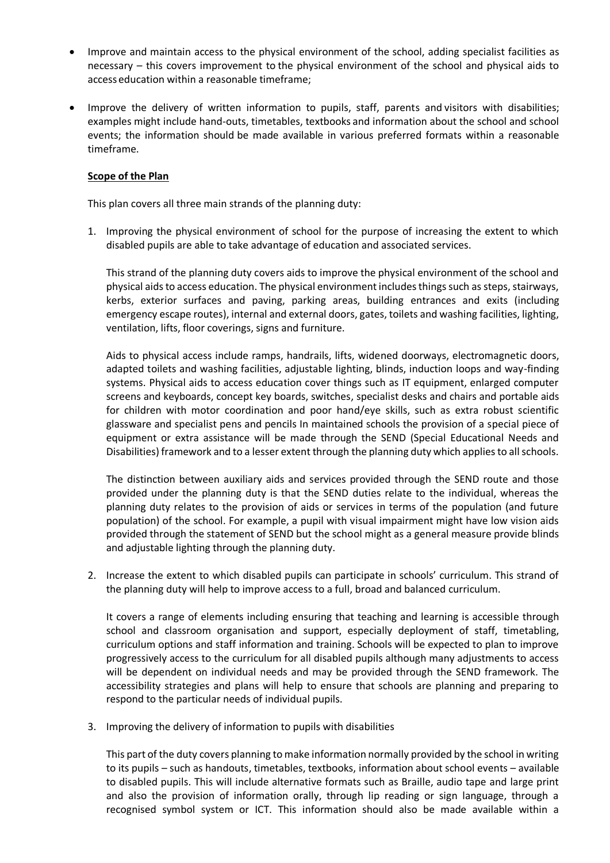- Improve and maintain access to the physical environment of the school, adding specialist facilities as necessary – this covers improvement to the physical environment of the school and physical aids to access education within a reasonable timeframe;
- Improve the delivery of written information to pupils, staff, parents and visitors with disabilities; examples might include hand-outs, timetables, textbooks and information about the school and school events; the information should be made available in various preferred formats within a reasonable timeframe.

#### **Scope of the Plan**

This plan covers all three main strands of the planning duty:

1. Improving the physical environment of school for the purpose of increasing the extent to which disabled pupils are able to take advantage of education and associated services.

This strand of the planning duty covers aids to improve the physical environment of the school and physical aids to access education. The physical environment includes things such as steps, stairways, kerbs, exterior surfaces and paving, parking areas, building entrances and exits (including emergency escape routes), internal and external doors, gates, toilets and washing facilities, lighting, ventilation, lifts, floor coverings, signs and furniture.

Aids to physical access include ramps, handrails, lifts, widened doorways, electromagnetic doors, adapted toilets and washing facilities, adjustable lighting, blinds, induction loops and way-finding systems. Physical aids to access education cover things such as IT equipment, enlarged computer screens and keyboards, concept key boards, switches, specialist desks and chairs and portable aids for children with motor coordination and poor hand/eye skills, such as extra robust scientific glassware and specialist pens and pencils In maintained schools the provision of a special piece of equipment or extra assistance will be made through the SEND (Special Educational Needs and Disabilities) framework and to a lesser extent through the planning duty which applies to all schools.

The distinction between auxiliary aids and services provided through the SEND route and those provided under the planning duty is that the SEND duties relate to the individual, whereas the planning duty relates to the provision of aids or services in terms of the population (and future population) of the school. For example, a pupil with visual impairment might have low vision aids provided through the statement of SEND but the school might as a general measure provide blinds and adjustable lighting through the planning duty.

2. Increase the extent to which disabled pupils can participate in schools' curriculum. This strand of the planning duty will help to improve access to a full, broad and balanced curriculum.

It covers a range of elements including ensuring that teaching and learning is accessible through school and classroom organisation and support, especially deployment of staff, timetabling, curriculum options and staff information and training. Schools will be expected to plan to improve progressively access to the curriculum for all disabled pupils although many adjustments to access will be dependent on individual needs and may be provided through the SEND framework. The accessibility strategies and plans will help to ensure that schools are planning and preparing to respond to the particular needs of individual pupils.

3. Improving the delivery of information to pupils with disabilities

This part of the duty covers planning to make information normally provided by the school in writing to its pupils – such as handouts, timetables, textbooks, information about school events – available to disabled pupils. This will include alternative formats such as Braille, audio tape and large print and also the provision of information orally, through lip reading or sign language, through a recognised symbol system or ICT. This information should also be made available within a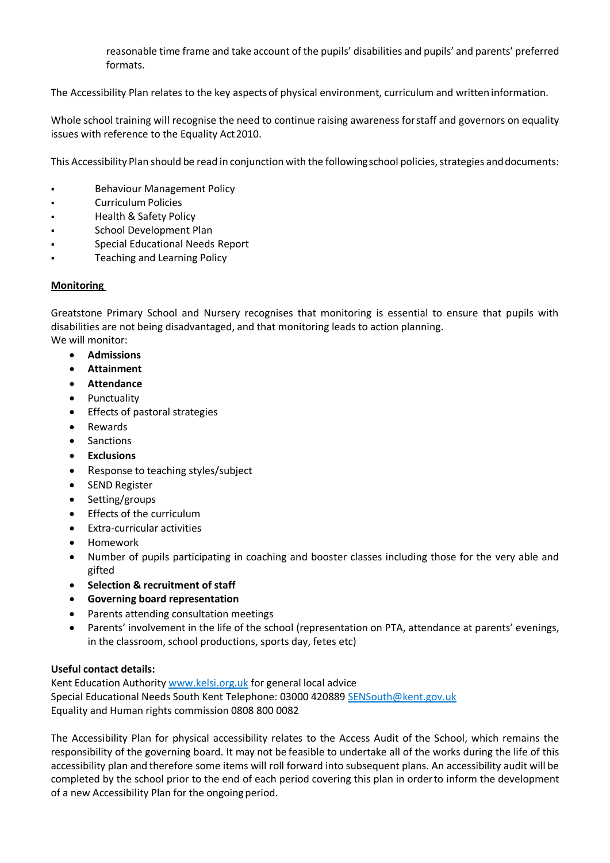reasonable time frame and take account of the pupils' disabilities and pupils' and parents' preferred formats.

The Accessibility Plan relates to the key aspectsof physical environment, curriculum and written information.

Whole school training will recognise the need to continue raising awareness forstaff and governors on equality issues with reference to the Equality Act2010.

This Accessibility Plan should be read in conjunction with the followingschool policies, strategies anddocuments:

- **Behaviour Management Policy**
- Curriculum Policies
- Health & Safety Policy
- School Development Plan
- Special Educational Needs Report
- Teaching and Learning Policy

## **Monitoring**

Greatstone Primary School and Nursery recognises that monitoring is essential to ensure that pupils with disabilities are not being disadvantaged, and that monitoring leads to action planning. We will monitor:

- **Admissions**
- **Attainment**
- **Attendance**
- Punctuality
- Effects of pastoral strategies
- Rewards
- **Sanctions**
- **Exclusions**
- Response to teaching styles/subject
- SEND Register
- Setting/groups
- Effects of the curriculum
- Extra-curricular activities
- Homework
- Number of pupils participating in coaching and booster classes including those for the very able and gifted
- **Selection & recruitment of staff**
- **Governing board representation**
- Parents attending consultation meetings
- Parents' involvement in the life of the school (representation on PTA, attendance at parents' evenings, in the classroom, school productions, sports day, fetes etc)

## **Useful contact details:**

Kent Education Authority [www.kelsi.org.uk](www.kelsi.org.uk%20) for general local advice Special Educational Needs South Kent Telephone: 03000 420889 [SENSouth@kent.gov.uk](SENSouth@kent.gov.uk%20) Equality and Human rights commission 0808 800 0082

The Accessibility Plan for physical accessibility relates to the Access Audit of the School, which remains the responsibility of the governing board. It may not be feasible to undertake all of the works during the life of this accessibility plan and therefore some items will roll forward into subsequent plans. An accessibility audit will be completed by the school prior to the end of each period covering this plan in orderto inform the development of a new Accessibility Plan for the ongoing period.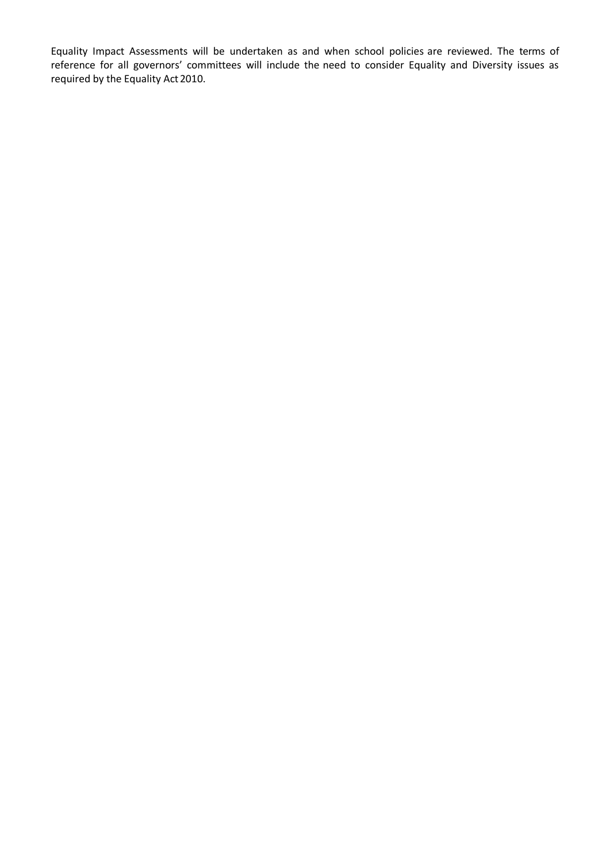Equality Impact Assessments will be undertaken as and when school policies are reviewed. The terms of reference for all governors' committees will include the need to consider Equality and Diversity issues as required by the Equality Act 2010.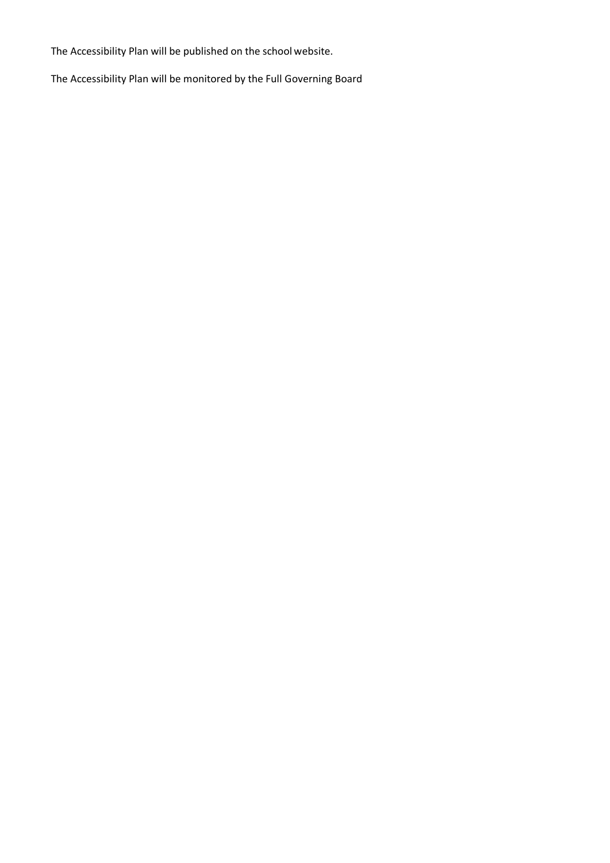The Accessibility Plan will be published on the school website.

The Accessibility Plan will be monitored by the Full Governing Board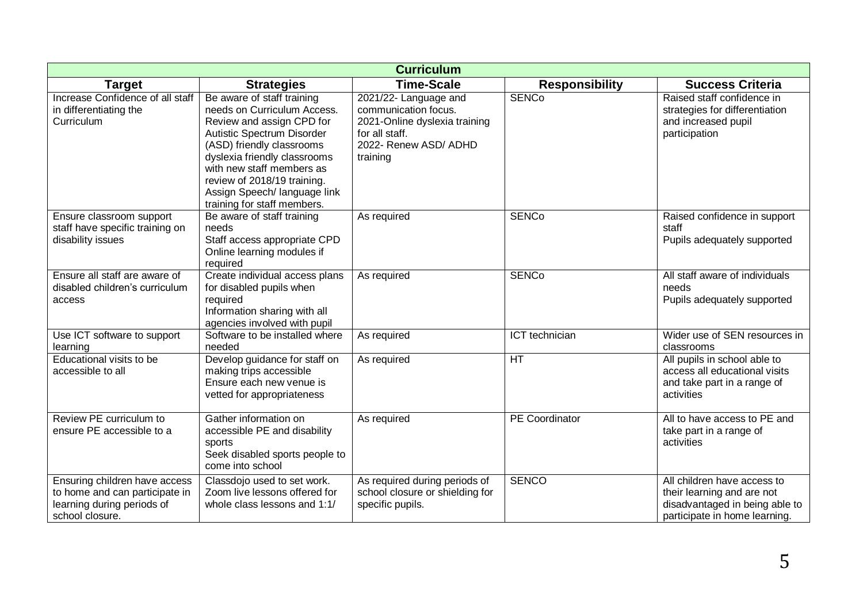| <b>Curriculum</b>                                                                                                |                                                                                                                                                                                                                                                                                                              |                                                                                                                                       |                       |                                                                                                                              |
|------------------------------------------------------------------------------------------------------------------|--------------------------------------------------------------------------------------------------------------------------------------------------------------------------------------------------------------------------------------------------------------------------------------------------------------|---------------------------------------------------------------------------------------------------------------------------------------|-----------------------|------------------------------------------------------------------------------------------------------------------------------|
| <b>Target</b>                                                                                                    | <b>Strategies</b>                                                                                                                                                                                                                                                                                            | <b>Time-Scale</b>                                                                                                                     | <b>Responsibility</b> | <b>Success Criteria</b>                                                                                                      |
| Increase Confidence of all staff<br>in differentiating the<br>Curriculum                                         | Be aware of staff training<br>needs on Curriculum Access.<br>Review and assign CPD for<br>Autistic Spectrum Disorder<br>(ASD) friendly classrooms<br>dyslexia friendly classrooms<br>with new staff members as<br>review of 2018/19 training.<br>Assign Speech/ language link<br>training for staff members. | 2021/22- Language and<br>communication focus.<br>2021-Online dyslexia training<br>for all staff.<br>2022- Renew ASD/ ADHD<br>training | <b>SENCo</b>          | Raised staff confidence in<br>strategies for differentiation<br>and increased pupil<br>participation                         |
| Ensure classroom support<br>staff have specific training on<br>disability issues                                 | Be aware of staff training<br>needs<br>Staff access appropriate CPD<br>Online learning modules if<br>required                                                                                                                                                                                                | As required                                                                                                                           | <b>SENCo</b>          | Raised confidence in support<br>staff<br>Pupils adequately supported                                                         |
| Ensure all staff are aware of<br>disabled children's curriculum<br>access                                        | Create individual access plans<br>for disabled pupils when<br>required<br>Information sharing with all<br>agencies involved with pupil                                                                                                                                                                       | As required                                                                                                                           | <b>SENCo</b>          | All staff aware of individuals<br>needs<br>Pupils adequately supported                                                       |
| Use ICT software to support<br>learning                                                                          | Software to be installed where<br>needed                                                                                                                                                                                                                                                                     | As required                                                                                                                           | ICT technician        | Wider use of SEN resources in<br>classrooms                                                                                  |
| Educational visits to be<br>accessible to all                                                                    | Develop guidance for staff on<br>making trips accessible<br>Ensure each new venue is<br>vetted for appropriateness                                                                                                                                                                                           | As required                                                                                                                           | HT                    | All pupils in school able to<br>access all educational visits<br>and take part in a range of<br>activities                   |
| Review PE curriculum to<br>ensure PE accessible to a                                                             | Gather information on<br>accessible PE and disability<br>sports<br>Seek disabled sports people to<br>come into school                                                                                                                                                                                        | As required                                                                                                                           | <b>PE</b> Coordinator | All to have access to PE and<br>take part in a range of<br>activities                                                        |
| Ensuring children have access<br>to home and can participate in<br>learning during periods of<br>school closure. | Classdojo used to set work.<br>Zoom live lessons offered for<br>whole class lessons and 1:1/                                                                                                                                                                                                                 | As required during periods of<br>school closure or shielding for<br>specific pupils.                                                  | <b>SENCO</b>          | All children have access to<br>their learning and are not<br>disadvantaged in being able to<br>participate in home learning. |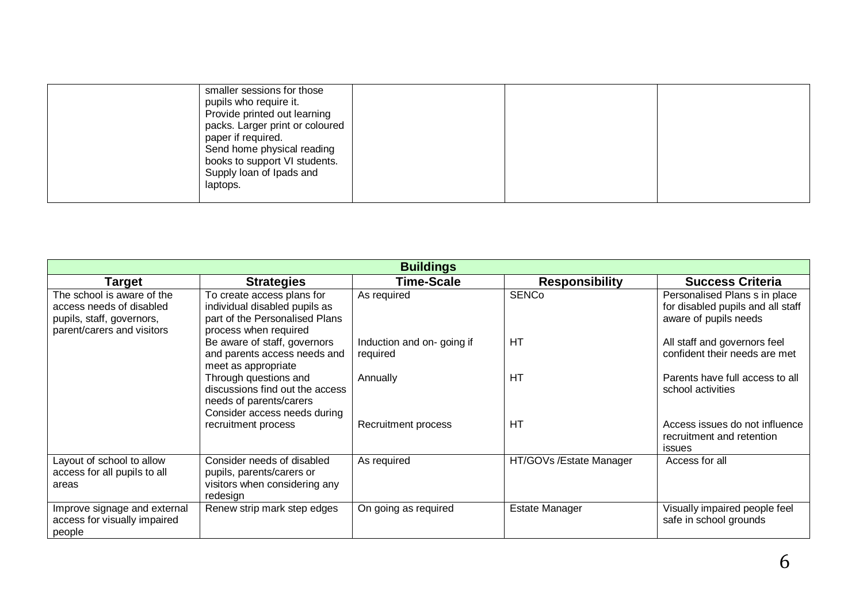| smaller sessions for those<br>pupils who require it.<br>Provide printed out learning<br>packs. Larger print or coloured<br>paper if required.<br>Send home physical reading<br>books to support VI students.<br>Supply loan of Ipads and<br>laptops. |  |  |
|------------------------------------------------------------------------------------------------------------------------------------------------------------------------------------------------------------------------------------------------------|--|--|
|------------------------------------------------------------------------------------------------------------------------------------------------------------------------------------------------------------------------------------------------------|--|--|

| <b>Buildings</b>                                                                                                  |                                                                                                                        |                                       |                         |                                                                                             |
|-------------------------------------------------------------------------------------------------------------------|------------------------------------------------------------------------------------------------------------------------|---------------------------------------|-------------------------|---------------------------------------------------------------------------------------------|
| Target                                                                                                            | <b>Strategies</b>                                                                                                      | <b>Time-Scale</b>                     | <b>Responsibility</b>   | <b>Success Criteria</b>                                                                     |
| The school is aware of the<br>access needs of disabled<br>pupils, staff, governors,<br>parent/carers and visitors | To create access plans for<br>individual disabled pupils as<br>part of the Personalised Plans<br>process when required | As required                           | <b>SENCo</b>            | Personalised Plans s in place<br>for disabled pupils and all staff<br>aware of pupils needs |
|                                                                                                                   | Be aware of staff, governors<br>and parents access needs and<br>meet as appropriate                                    | Induction and on-going if<br>required | HT                      | All staff and governors feel<br>confident their needs are met                               |
|                                                                                                                   | Through questions and<br>discussions find out the access<br>needs of parents/carers<br>Consider access needs during    | Annually                              | <b>HT</b>               | Parents have full access to all<br>school activities                                        |
|                                                                                                                   | recruitment process                                                                                                    | Recruitment process                   | HT                      | Access issues do not influence<br>recruitment and retention<br>issues                       |
| Layout of school to allow<br>access for all pupils to all<br>areas                                                | Consider needs of disabled<br>pupils, parents/carers or<br>visitors when considering any<br>redesign                   | As required                           | HT/GOVs /Estate Manager | Access for all                                                                              |
| Improve signage and external<br>access for visually impaired<br>people                                            | Renew strip mark step edges                                                                                            | On going as required                  | <b>Estate Manager</b>   | Visually impaired people feel<br>safe in school grounds                                     |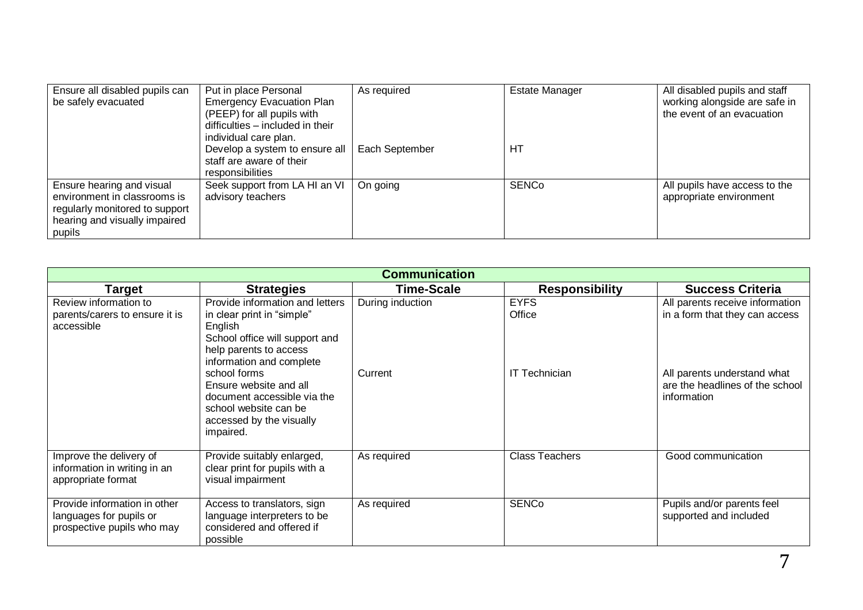| Ensure all disabled pupils can<br>be safely evacuated     | Put in place Personal<br><b>Emergency Evacuation Plan</b>      | As required    | <b>Estate Manager</b> | All disabled pupils and staff<br>working alongside are safe in |
|-----------------------------------------------------------|----------------------------------------------------------------|----------------|-----------------------|----------------------------------------------------------------|
|                                                           | (PEEP) for all pupils with<br>difficulties - included in their |                |                       | the event of an evacuation                                     |
|                                                           | individual care plan.                                          |                |                       |                                                                |
|                                                           | Develop a system to ensure all<br>staff are aware of their     | Each September | HТ                    |                                                                |
|                                                           | responsibilities                                               |                |                       |                                                                |
| Ensure hearing and visual<br>environment in classrooms is | Seek support from LA HI an VI                                  | On going       | <b>SENCo</b>          | All pupils have access to the<br>appropriate environment       |
| regularly monitored to support                            | advisory teachers                                              |                |                       |                                                                |
| hearing and visually impaired                             |                                                                |                |                       |                                                                |
| pupils                                                    |                                                                |                |                       |                                                                |

| <b>Communication</b>                                                                  |                                                                                                                                                                                                                                                                                                             |                             |                                               |                                                                                                                                                    |
|---------------------------------------------------------------------------------------|-------------------------------------------------------------------------------------------------------------------------------------------------------------------------------------------------------------------------------------------------------------------------------------------------------------|-----------------------------|-----------------------------------------------|----------------------------------------------------------------------------------------------------------------------------------------------------|
| <b>Target</b>                                                                         | <b>Strategies</b>                                                                                                                                                                                                                                                                                           | Time-Scale                  | <b>Responsibility</b>                         | <b>Success Criteria</b>                                                                                                                            |
| Review information to<br>parents/carers to ensure it is<br>accessible                 | Provide information and letters<br>in clear print in "simple"<br>English<br>School office will support and<br>help parents to access<br>information and complete<br>school forms<br>Ensure website and all<br>document accessible via the<br>school website can be<br>accessed by the visually<br>impaired. | During induction<br>Current | <b>EYFS</b><br>Office<br><b>IT Technician</b> | All parents receive information<br>in a form that they can access<br>All parents understand what<br>are the headlines of the school<br>information |
| Improve the delivery of<br>information in writing in an<br>appropriate format         | Provide suitably enlarged,<br>clear print for pupils with a<br>visual impairment                                                                                                                                                                                                                            | As required                 | <b>Class Teachers</b>                         | Good communication                                                                                                                                 |
| Provide information in other<br>languages for pupils or<br>prospective pupils who may | Access to translators, sign<br>language interpreters to be<br>considered and offered if<br>possible                                                                                                                                                                                                         | As required                 | <b>SENCo</b>                                  | Pupils and/or parents feel<br>supported and included                                                                                               |